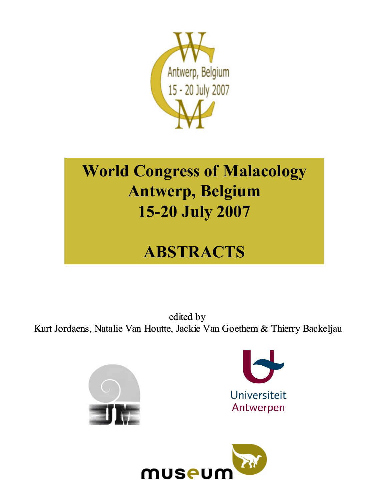

# World Congress of Malacology Antwerp, Belgium 15-20 July 2007

# ABSTRACTS

edited by Kurt Jordaens, Natalie Van Houtte, Jackie Van Goethem & Thierry Backeljau





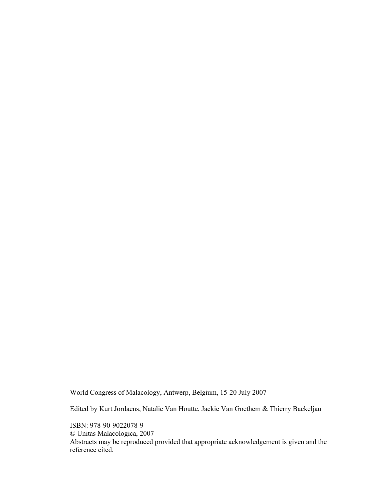World Congress of Malacology, Antwerp, Belgium, 15-20 July 2007

Edited by Kurt Jordaens, Natalie Van Houtte, Jackie Van Goethem & Thierry Backeljau

ISBN: 978-90-9022078-9 © Unitas Malacologica, 2007 Abstracts may be reproduced provided that appropriate acknowledgement is given and the reference cited.